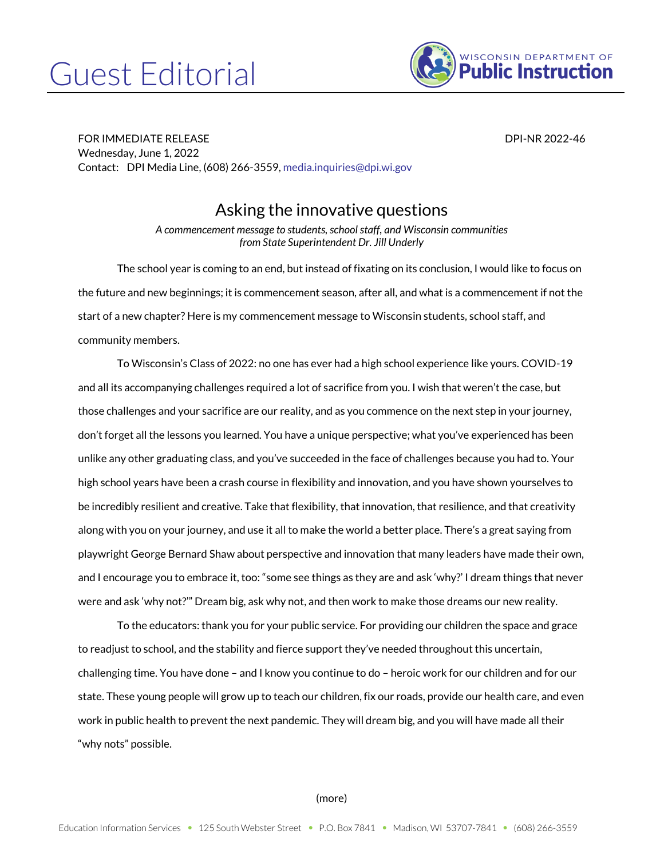## Guest Editorial



FOR IMMEDIATE RELEASE DPI-NR 2022-46 Wednesday, June 1, 2022 Contact: DPI Media Line, (608) 266-3559[, media.inquiries@dpi.wi.gov](mailto:media.inquiries@dpi.wi.gov)

## Asking the innovative questions

*A commencement message to students, school staff, and Wisconsin communities from State Superintendent Dr. Jill Underly*

The school year is coming to an end, but instead of fixating on its conclusion, I would like to focus on the future and new beginnings; it is commencement season, after all, and what is a commencement if not the start of a new chapter? Here is my commencement message to Wisconsin students, school staff, and community members.

To Wisconsin's Class of 2022: no one has ever had a high school experience like yours. COVID-19 and all its accompanying challenges required a lot of sacrifice from you. I wish that weren't the case, but those challenges and your sacrifice are our reality, and as you commence on the next step in your journey, don't forget all the lessons you learned. You have a unique perspective; what you've experienced has been unlike any other graduating class, and you've succeeded in the face of challenges because you had to. Your high school years have been a crash course in flexibility and innovation, and you have shown yourselves to be incredibly resilient and creative. Take that flexibility, that innovation, that resilience, and that creativity along with you on your journey, and use it all to make the world a better place. There's a great saying from playwright George Bernard Shaw about perspective and innovation that many leaders have made their own, and I encourage you to embrace it, too: "some see things as they are and ask 'why?' I dream things that never were and ask 'why not?'" Dream big, ask why not, and then work to make those dreams our new reality.

To the educators: thank you for your public service. For providing our children the space and grace to readjust to school, and the stability and fierce support they've needed throughout this uncertain, challenging time. You have done – and I know you continue to do – heroic work for our children and for our state. These young people will grow up to teach our children, fix our roads, provide our health care, and even work in public health to prevent the next pandemic. They will dream big, and you will have made all their "why nots" possible.

## (more)